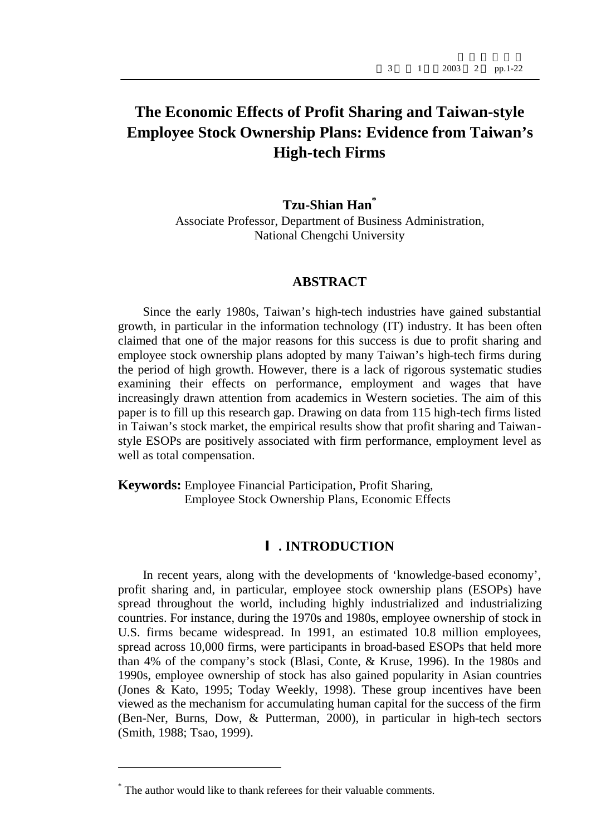# **The Economic Effects of Profit Sharing and Taiwan-style Employee Stock Ownership Plans: Evidence from Taiwan's High-tech Firms**

# **Tzu-Shian Han\***

Associate Professor, Department of Business Administration, National Chengchi University

#### **ABSTRACT**

Since the early 1980s, Taiwan's high-tech industries have gained substantial growth, in particular in the information technology (IT) industry. It has been often claimed that one of the major reasons for this success is due to profit sharing and employee stock ownership plans adopted by many Taiwan's high-tech firms during the period of high growth. However, there is a lack of rigorous systematic studies examining their effects on performance, employment and wages that have increasingly drawn attention from academics in Western societies. The aim of this paper is to fill up this research gap. Drawing on data from 115 high-tech firms listed in Taiwan's stock market, the empirical results show that profit sharing and Taiwanstyle ESOPs are positively associated with firm performance, employment level as well as total compensation.

**Keywords:** Employee Financial Participation, Profit Sharing, Employee Stock Ownership Plans, Economic Effects

#### **. INTRODUCTION**

In recent years, along with the developments of 'knowledge-based economy', profit sharing and, in particular, employee stock ownership plans (ESOPs) have spread throughout the world, including highly industrialized and industrializing countries. For instance, during the 1970s and 1980s, employee ownership of stock in U.S. firms became widespread. In 1991, an estimated 10.8 million employees, spread across 10,000 firms, were participants in broad-based ESOPs that held more than 4% of the company's stock (Blasi, Conte, & Kruse, 1996). In the 1980s and 1990s, employee ownership of stock has also gained popularity in Asian countries (Jones & Kato, 1995; Today Weekly, 1998). These group incentives have been viewed as the mechanism for accumulating human capital for the success of the firm (Ben-Ner, Burns, Dow, & Putterman, 2000), in particular in high-tech sectors (Smith, 1988; Tsao, 1999).

 $\overline{a}$ 

<sup>\*</sup> The author would like to thank referees for their valuable comments.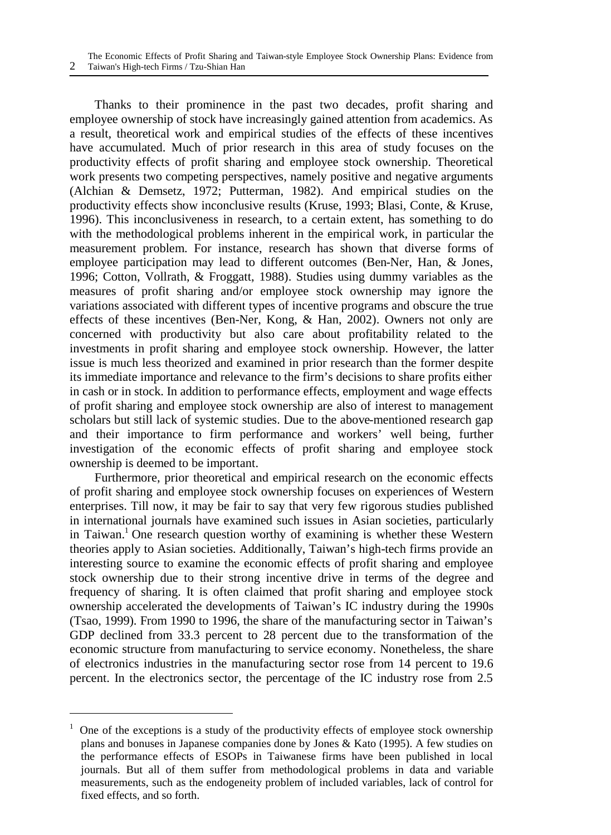Thanks to their prominence in the past two decades, profit sharing and employee ownership of stock have increasingly gained attention from academics. As a result, theoretical work and empirical studies of the effects of these incentives have accumulated. Much of prior research in this area of study focuses on the productivity effects of profit sharing and employee stock ownership. Theoretical work presents two competing perspectives, namely positive and negative arguments (Alchian & Demsetz, 1972; Putterman, 1982). And empirical studies on the productivity effects show inconclusive results (Kruse, 1993; Blasi, Conte, & Kruse, 1996). This inconclusiveness in research, to a certain extent, has something to do with the methodological problems inherent in the empirical work, in particular the measurement problem. For instance, research has shown that diverse forms of employee participation may lead to different outcomes (Ben-Ner, Han, & Jones, 1996; Cotton, Vollrath, & Froggatt, 1988). Studies using dummy variables as the measures of profit sharing and/or employee stock ownership may ignore the variations associated with different types of incentive programs and obscure the true effects of these incentives (Ben-Ner, Kong, & Han, 2002). Owners not only are concerned with productivity but also care about profitability related to the investments in profit sharing and employee stock ownership. However, the latter issue is much less theorized and examined in prior research than the former despite its immediate importance and relevance to the firm's decisions to share profits either in cash or in stock. In addition to performance effects, employment and wage effects of profit sharing and employee stock ownership are also of interest to management scholars but still lack of systemic studies. Due to the above-mentioned research gap and their importance to firm performance and workers' well being, further investigation of the economic effects of profit sharing and employee stock ownership is deemed to be important.

Furthermore, prior theoretical and empirical research on the economic effects of profit sharing and employee stock ownership focuses on experiences of Western enterprises. Till now, it may be fair to say that very few rigorous studies published in international journals have examined such issues in Asian societies, particularly in Taiwan.<sup>1</sup> One research question worthy of examining is whether these Western theories apply to Asian societies. Additionally, Taiwan's high-tech firms provide an interesting source to examine the economic effects of profit sharing and employee stock ownership due to their strong incentive drive in terms of the degree and frequency of sharing. It is often claimed that profit sharing and employee stock ownership accelerated the developments of Taiwan's IC industry during the 1990s (Tsao, 1999). From 1990 to 1996, the share of the manufacturing sector in Taiwan's GDP declined from 33.3 percent to 28 percent due to the transformation of the economic structure from manufacturing to service economy. Nonetheless, the share of electronics industries in the manufacturing sector rose from 14 percent to 19.6 percent. In the electronics sector, the percentage of the IC industry rose from 2.5

<u>.</u>

 $1$  One of the exceptions is a study of the productivity effects of employee stock ownership plans and bonuses in Japanese companies done by Jones & Kato (1995). A few studies on the performance effects of ESOPs in Taiwanese firms have been published in local journals. But all of them suffer from methodological problems in data and variable measurements, such as the endogeneity problem of included variables, lack of control for fixed effects, and so forth.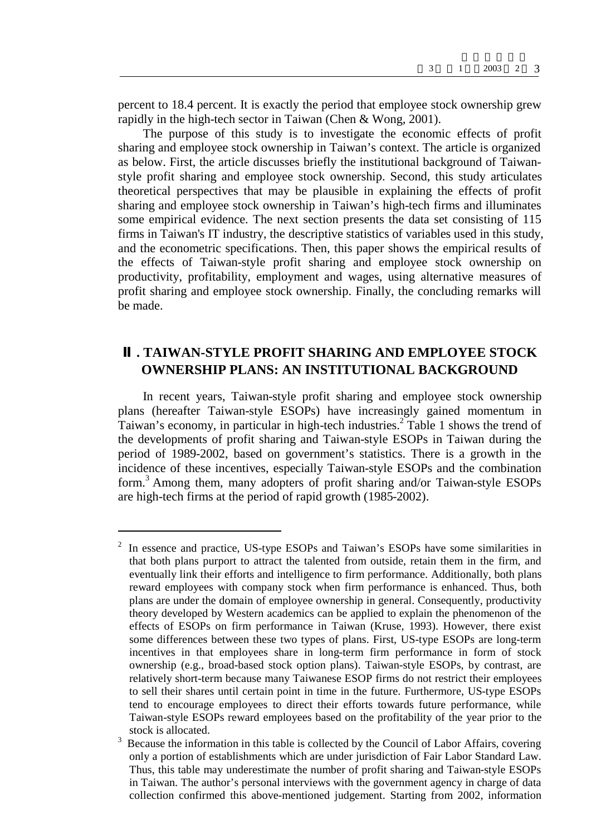percent to 18.4 percent. It is exactly the period that employee stock ownership grew rapidly in the high-tech sector in Taiwan (Chen & Wong, 2001).

The purpose of this study is to investigate the economic effects of profit sharing and employee stock ownership in Taiwan's context. The article is organized as below. First, the article discusses briefly the institutional background of Taiwanstyle profit sharing and employee stock ownership. Second, this study articulates theoretical perspectives that may be plausible in explaining the effects of profit sharing and employee stock ownership in Taiwan's high-tech firms and illuminates some empirical evidence. The next section presents the data set consisting of 115 firms in Taiwan's IT industry, the descriptive statistics of variables used in this study, and the econometric specifications. Then, this paper shows the empirical results of the effects of Taiwan-style profit sharing and employee stock ownership on productivity, profitability, employment and wages, using alternative measures of profit sharing and employee stock ownership. Finally, the concluding remarks will be made.

# **. TAIWAN-STYLE PROFIT SHARING AND EMPLOYEE STOCK OWNERSHIP PLANS: AN INSTITUTIONAL BACKGROUND**

In recent years, Taiwan-style profit sharing and employee stock ownership plans (hereafter Taiwan-style ESOPs) have increasingly gained momentum in Taiwan's economy, in particular in high-tech industries.<sup>2</sup> Table 1 shows the trend of the developments of profit sharing and Taiwan-style ESOPs in Taiwan during the period of 1989-2002, based on government's statistics. There is a growth in the incidence of these incentives, especially Taiwan-style ESOPs and the combination form.<sup>3</sup> Among them, many adopters of profit sharing and/or Taiwan-style ESOPs are high-tech firms at the period of rapid growth (1985-2002).

 $\overline{a}$ 

<sup>2</sup> In essence and practice, US-type ESOPs and Taiwan's ESOPs have some similarities in that both plans purport to attract the talented from outside, retain them in the firm, and eventually link their efforts and intelligence to firm performance. Additionally, both plans reward employees with company stock when firm performance is enhanced. Thus, both plans are under the domain of employee ownership in general. Consequently, productivity theory developed by Western academics can be applied to explain the phenomenon of the effects of ESOPs on firm performance in Taiwan (Kruse, 1993). However, there exist some differences between these two types of plans. First, US-type ESOPs are long-term incentives in that employees share in long-term firm performance in form of stock ownership (e.g., broad-based stock option plans). Taiwan-style ESOPs, by contrast, are relatively short-term because many Taiwanese ESOP firms do not restrict their employees to sell their shares until certain point in time in the future. Furthermore, US-type ESOPs tend to encourage employees to direct their efforts towards future performance, while Taiwan-style ESOPs reward employees based on the profitability of the year prior to the stock is allocated.

<sup>&</sup>lt;sup>3</sup> Because the information in this table is collected by the Council of Labor Affairs, covering only a portion of establishments which are under jurisdiction of Fair Labor Standard Law. Thus, this table may underestimate the number of profit sharing and Taiwan-style ESOPs in Taiwan. The author's personal interviews with the government agency in charge of data collection confirmed this above-mentioned judgement. Starting from 2002, information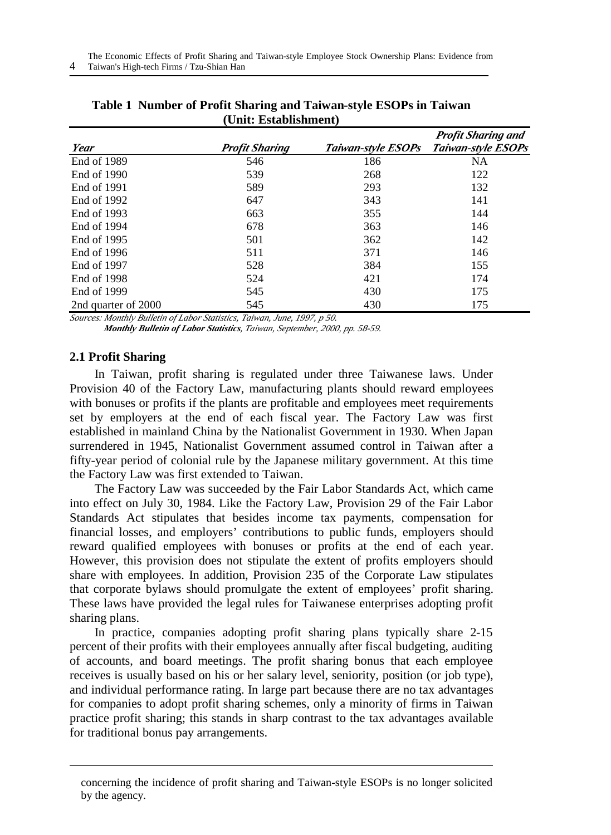|                     |                       |     | <b>Profit Sharing and</b>             |
|---------------------|-----------------------|-----|---------------------------------------|
| Year                | <b>Profit Sharing</b> |     | Taiwan-style ESOPs Taiwan-style ESOPs |
| End of 1989         | 546                   | 186 | NA                                    |
| End of 1990         | 539                   | 268 | 122                                   |
| End of 1991         | 589                   | 293 | 132                                   |
| End of 1992         | 647                   | 343 | 141                                   |
| End of 1993         | 663                   | 355 | 144                                   |
| End of 1994         | 678                   | 363 | 146                                   |
| End of 1995         | 501                   | 362 | 142                                   |
| End of 1996         | 511                   | 371 | 146                                   |
| End of 1997         | 528                   | 384 | 155                                   |
| End of 1998         | 524                   | 421 | 174                                   |
| End of 1999         | 545                   | 430 | 175                                   |
| 2nd quarter of 2000 | 545                   | 430 | 175                                   |

| Table 1 Number of Profit Sharing and Taiwan-style ESOPs in Taiwan |
|-------------------------------------------------------------------|
| (Unit: Establishment)                                             |

*Sources: Monthly Bulletin of Labor Statistics, Taiwan, June, 1997, p 50.* 

*Monthly Bulletin of Labor Statistics, Taiwan, September, 2000, pp. 58-59.*

# **2.1 Profit Sharing**

1

In Taiwan, profit sharing is regulated under three Taiwanese laws. Under Provision 40 of the Factory Law, manufacturing plants should reward employees with bonuses or profits if the plants are profitable and employees meet requirements set by employers at the end of each fiscal year. The Factory Law was first established in mainland China by the Nationalist Government in 1930. When Japan surrendered in 1945, Nationalist Government assumed control in Taiwan after a fifty-year period of colonial rule by the Japanese military government. At this time the Factory Law was first extended to Taiwan.

The Factory Law was succeeded by the Fair Labor Standards Act, which came into effect on July 30, 1984. Like the Factory Law, Provision 29 of the Fair Labor Standards Act stipulates that besides income tax payments, compensation for financial losses, and employers' contributions to public funds, employers should reward qualified employees with bonuses or profits at the end of each year. However, this provision does not stipulate the extent of profits employers should share with employees. In addition, Provision 235 of the Corporate Law stipulates that corporate bylaws should promulgate the extent of employees' profit sharing. These laws have provided the legal rules for Taiwanese enterprises adopting profit sharing plans.

In practice, companies adopting profit sharing plans typically share 2-15 percent of their profits with their employees annually after fiscal budgeting, auditing of accounts, and board meetings. The profit sharing bonus that each employee receives is usually based on his or her salary level, seniority, position (or job type), and individual performance rating. In large part because there are no tax advantages for companies to adopt profit sharing schemes, only a minority of firms in Taiwan practice profit sharing; this stands in sharp contrast to the tax advantages available for traditional bonus pay arrangements.

concerning the incidence of profit sharing and Taiwan-style ESOPs is no longer solicited by the agency.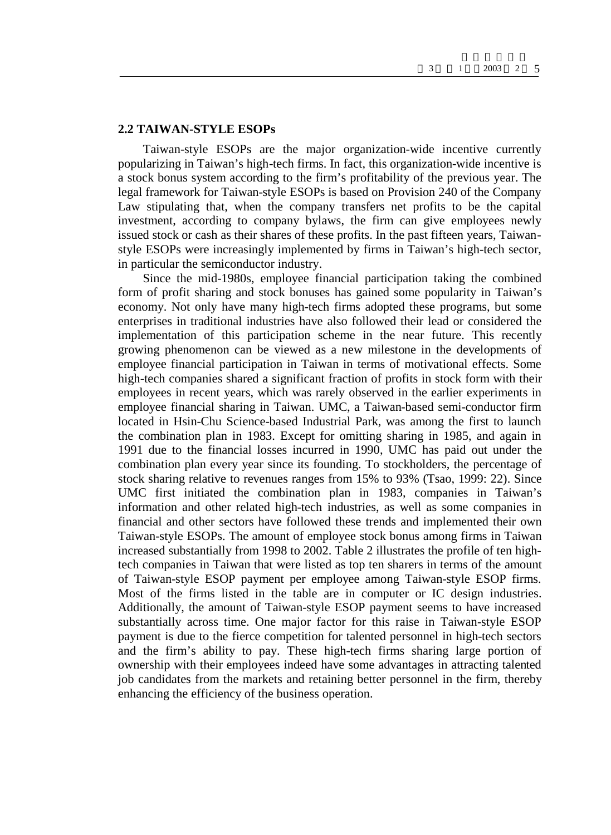#### **2.2 TAIWAN-STYLE ESOPs**

Taiwan-style ESOPs are the major organization-wide incentive currently popularizing in Taiwan's high-tech firms. In fact, this organization-wide incentive is a stock bonus system according to the firm's profitability of the previous year. The legal framework for Taiwan-style ESOPs is based on Provision 240 of the Company Law stipulating that, when the company transfers net profits to be the capital investment, according to company bylaws, the firm can give employees newly issued stock or cash as their shares of these profits. In the past fifteen years, Taiwanstyle ESOPs were increasingly implemented by firms in Taiwan's high-tech sector, in particular the semiconductor industry.

Since the mid-1980s, employee financial participation taking the combined form of profit sharing and stock bonuses has gained some popularity in Taiwan's economy. Not only have many high-tech firms adopted these programs, but some enterprises in traditional industries have also followed their lead or considered the implementation of this participation scheme in the near future. This recently growing phenomenon can be viewed as a new milestone in the developments of employee financial participation in Taiwan in terms of motivational effects. Some high-tech companies shared a significant fraction of profits in stock form with their employees in recent years, which was rarely observed in the earlier experiments in employee financial sharing in Taiwan. UMC, a Taiwan-based semi-conductor firm located in Hsin-Chu Science-based Industrial Park, was among the first to launch the combination plan in 1983. Except for omitting sharing in 1985, and again in 1991 due to the financial losses incurred in 1990, UMC has paid out under the combination plan every year since its founding. To stockholders, the percentage of stock sharing relative to revenues ranges from 15% to 93% (Tsao, 1999: 22). Since UMC first initiated the combination plan in 1983, companies in Taiwan's information and other related high-tech industries, as well as some companies in financial and other sectors have followed these trends and implemented their own Taiwan-style ESOPs. The amount of employee stock bonus among firms in Taiwan increased substantially from 1998 to 2002. Table 2 illustrates the profile of ten hightech companies in Taiwan that were listed as top ten sharers in terms of the amount of Taiwan-style ESOP payment per employee among Taiwan-style ESOP firms. Most of the firms listed in the table are in computer or IC design industries. Additionally, the amount of Taiwan-style ESOP payment seems to have increased substantially across time. One major factor for this raise in Taiwan-style ESOP payment is due to the fierce competition for talented personnel in high-tech sectors and the firm's ability to pay. These high-tech firms sharing large portion of ownership with their employees indeed have some advantages in attracting talented job candidates from the markets and retaining better personnel in the firm, thereby enhancing the efficiency of the business operation.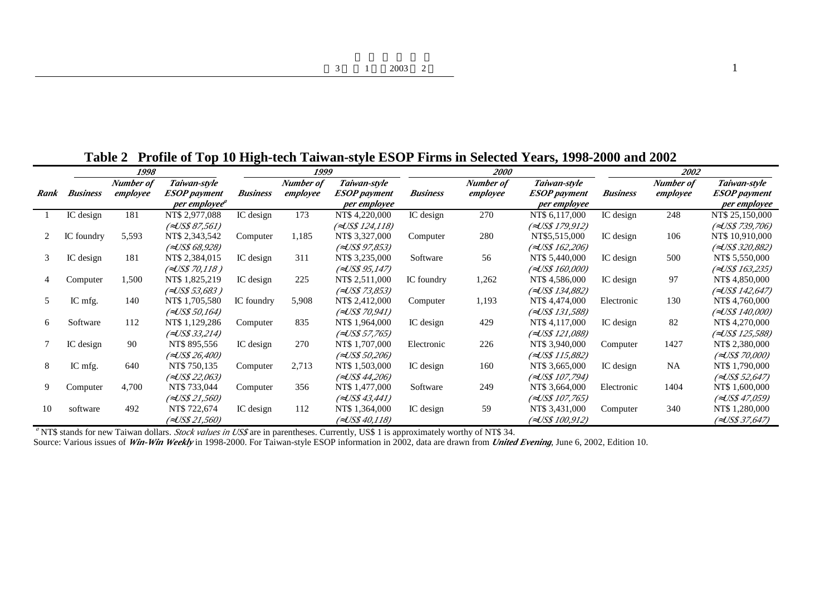**Table 2 Profile of Top 10 High-tech Taiwan-style ESOP Firms in Selected Years, 1998-2000 and 2002**

|      |                 | 1998                  |                                     |                 | 1999                  |                                     |                 | 2000                  |                                     |                 | 2002                  |                                     |
|------|-----------------|-----------------------|-------------------------------------|-----------------|-----------------------|-------------------------------------|-----------------|-----------------------|-------------------------------------|-----------------|-----------------------|-------------------------------------|
| Rank | <b>Business</b> | Number of<br>employee | Taiwan-style<br><b>ESOP</b> payment | <b>Business</b> | Number of<br>employee | Taiwan-style<br><b>ESOP</b> payment | <b>Business</b> | Number of<br>employee | Taiwan-style<br><b>ESOP</b> payment | <b>Business</b> | Number of<br>employee | Taiwan-style<br><b>ESOP</b> payment |
|      |                 |                       | per employee <sup>a</sup>           |                 |                       | per employee                        |                 |                       | per employee                        |                 |                       | per employee                        |
|      | IC design       | 181                   | NT\$ 2,977,088                      | IC design       | 173                   | NT\$ 4,220,000                      | IC design       | 270                   | NT\$ 6,117,000                      | IC design       | 248                   | NT\$ 25,150,000                     |
|      |                 |                       | (ÖUS\$ 87,561)                      |                 |                       | (ÖUS\$ 124,118)                     |                 |                       | (ÖUS\$ 179,912)                     |                 |                       | (ÖUS\$ 739,706)                     |
| 2    | IC foundry      | 5,593                 | NT\$ 2,343,542                      | Computer        | 1,185                 | NT\$ 3,327,000                      | Computer        | 280                   | NT\$5,515,000                       | IC design       | 106                   | NT\$ 10,910,000                     |
|      |                 |                       | (ÖUS\$ 68,928)                      |                 |                       | (ÖUS\$ 97,853)                      |                 |                       | (ÖUS\$ 162,206)                     |                 |                       | (ÖUS\$ 320,882)                     |
| 3    | IC design       | 181                   | NT\$ 2,384,015                      | IC design       | 311                   | NT\$ 3,235,000                      | Software        | 56                    | NT\$ 5,440,000                      | IC design       | 500                   | NT\$ 5,550,000                      |
|      |                 |                       | (ÕUS\$ 70,118 )                     |                 |                       | (ÖUS\$ 95,147)                      |                 |                       | (ÖUS\$ 160,000)                     |                 |                       | (ÕUS\$ 163,235)                     |
|      | Computer        | 1,500                 | NT\$ 1,825,219                      | IC design       | 225                   | NT\$ 2,511,000                      | IC foundry      | 1,262                 | NT\$4,586,000                       | IC design       | 97                    | NT\$4,850,000                       |
|      |                 |                       | (ÖUS\$ 53,683 )                     |                 |                       | (ÖUS\$ 73,853)                      |                 |                       | (ÖUS\$ 134,882)                     |                 |                       | (ÖUS\$ 142,647)                     |
| 5    | IC mfg.         | 140                   | NT\$ 1,705,580                      | IC foundry      | 5,908                 | NT\$ 2,412,000                      | Computer        | 1,193                 | NT\$ 4,474,000                      | Electronic      | 130                   | NT\$ 4,760,000                      |
|      |                 |                       | (ÖUS\$ 50,164)                      |                 |                       | (ÖUS\$ 70,941)                      |                 |                       | (ÖUS\$ 131,588)                     |                 |                       | (ÖUS\$ 140,000)                     |
| 6    | Software        | 112                   | NT\$ 1,129,286                      | Computer        | 835                   | NT\$ 1,964,000                      | IC design       | 429                   | NT\$4,117,000                       | IC design       | 82                    | NT\$ 4,270,000                      |
|      |                 |                       | (ÖUS\$ 33,214)                      |                 |                       | (ÖUS\$ 57,765)                      |                 |                       | (ÖUS\$ 121,088)                     |                 |                       | (ÖUS\$ 125,588)                     |
|      | IC design       | 90                    | NT\$ 895,556                        | IC design       | 270                   | NT\$ 1,707,000                      | Electronic      | 226                   | NT\$ 3,940,000                      | Computer        | 1427                  | NT\$ 2,380,000                      |
|      |                 |                       | (ÖUS\$ 26,400)                      |                 |                       | (ÖUS\$ 50,206)                      |                 |                       | (ÕUS\$ 115,882)                     |                 |                       | (ÕUS\$ 70.000)                      |
| 8    | IC mfg.         | 640                   | NT\$ 750,135                        | Computer        | 2,713                 | NT\$ 1,503,000                      | IC design       | 160                   | NT\$ 3,665,000                      | IC design       | NA                    | NT\$ 1,790,000                      |
|      |                 |                       | (ÕUS\$ 22,063)                      |                 |                       | (ÖUS\$ 44,206)                      |                 |                       | (ÕUS\$ 107.794)                     |                 |                       | (ÕUS\$ 52,647)                      |
| 9    | Computer        | 4,700                 | NT\$ 733,044                        | Computer        | 356                   | NT\$ 1,477,000                      | Software        | 249                   | NT\$ 3,664,000                      | Electronic      | 1404                  | NT\$ 1,600,000                      |
|      |                 |                       | (ÕUS\$ 21,560)                      |                 |                       | (0US\$ 43,441)                      |                 |                       | (ÕUS\$ 107,765)                     |                 |                       | (ÕUS\$ 47.059)                      |
| 10   | software        | 492                   | NT\$ 722,674                        | IC design       | 112                   | NT\$ 1,364,000                      | IC design       | 59                    | NT\$ 3,431,000                      | Computer        | 340                   | NT\$ 1,280,000                      |
|      |                 |                       | (ÖUS\$ 21,560)                      |                 |                       | (ÖUS\$ 40,118)                      |                 |                       | (ÖUS\$ 100,912)                     |                 |                       | (ÖUS\$ 37,647)                      |

*a* NT\$ stands for new Taiwan dollars. *Stock values in US\$* are in parentheses. Currently, US\$ 1 is approximately worthy of NT\$ 34.

Source: Various issues of *Win-Win Weekly* in 1998-2000. For Taiwan-style ESOP information in 2002, data are drawn from *United Evening*, June 6, 2002, Edition 10.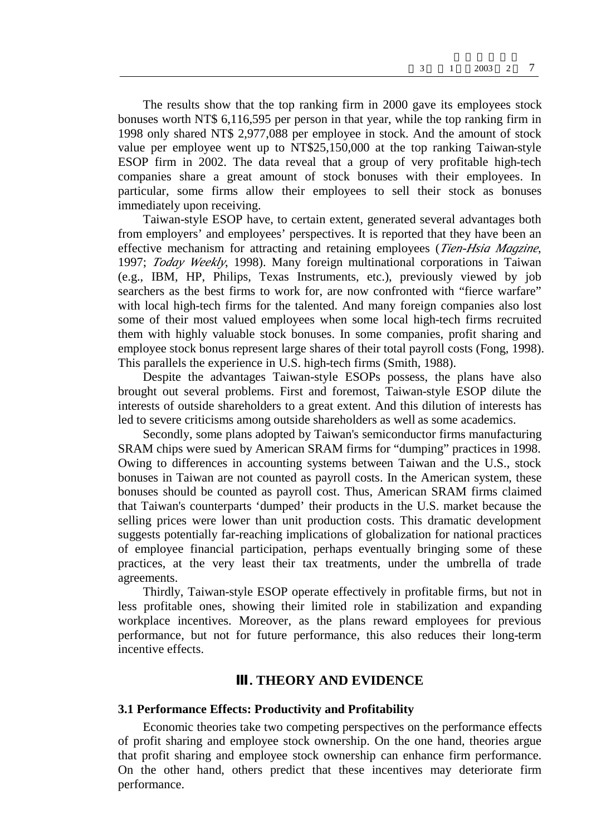The results show that the top ranking firm in 2000 gave its employees stock bonuses worth NT\$ 6,116,595 per person in that year, while the top ranking firm in 1998 only shared NT\$ 2,977,088 per employee in stock. And the amount of stock value per employee went up to NT\$25,150,000 at the top ranking Taiwan-style ESOP firm in 2002. The data reveal that a group of very profitable high-tech companies share a great amount of stock bonuses with their employees. In particular, some firms allow their employees to sell their stock as bonuses immediately upon receiving.

Taiwan-style ESOP have, to certain extent, generated several advantages both from employers' and employees' perspectives. It is reported that they have been an effective mechanism for attracting and retaining employees (*Tien-Hsia Magzine*, 1997; *Today Weekly*, 1998). Many foreign multinational corporations in Taiwan (e.g., IBM, HP, Philips, Texas Instruments, etc.), previously viewed by job searchers as the best firms to work for, are now confronted with "fierce warfare" with local high-tech firms for the talented. And many foreign companies also lost some of their most valued employees when some local high-tech firms recruited them with highly valuable stock bonuses. In some companies, profit sharing and employee stock bonus represent large shares of their total payroll costs (Fong, 1998). This parallels the experience in U.S. high-tech firms (Smith, 1988).

Despite the advantages Taiwan-style ESOPs possess, the plans have also brought out several problems. First and foremost, Taiwan-style ESOP dilute the interests of outside shareholders to a great extent. And this dilution of interests has led to severe criticisms among outside shareholders as well as some academics.

Secondly, some plans adopted by Taiwan's semiconductor firms manufacturing SRAM chips were sued by American SRAM firms for "dumping" practices in 1998. Owing to differences in accounting systems between Taiwan and the U.S., stock bonuses in Taiwan are not counted as payroll costs. In the American system, these bonuses should be counted as payroll cost. Thus, American SRAM firms claimed that Taiwan's counterparts 'dumped' their products in the U.S. market because the selling prices were lower than unit production costs. This dramatic development suggests potentially far-reaching implications of globalization for national practices of employee financial participation, perhaps eventually bringing some of these practices, at the very least their tax treatments, under the umbrella of trade agreements.

Thirdly, Taiwan-style ESOP operate effectively in profitable firms, but not in less profitable ones, showing their limited role in stabilization and expanding workplace incentives. Moreover, as the plans reward employees for previous performance, but not for future performance, this also reduces their long-term incentive effects.

#### **. THEORY AND EVIDENCE**

#### **3.1 Performance Effects: Productivity and Profitability**

Economic theories take two competing perspectives on the performance effects of profit sharing and employee stock ownership. On the one hand, theories argue that profit sharing and employee stock ownership can enhance firm performance. On the other hand, others predict that these incentives may deteriorate firm performance.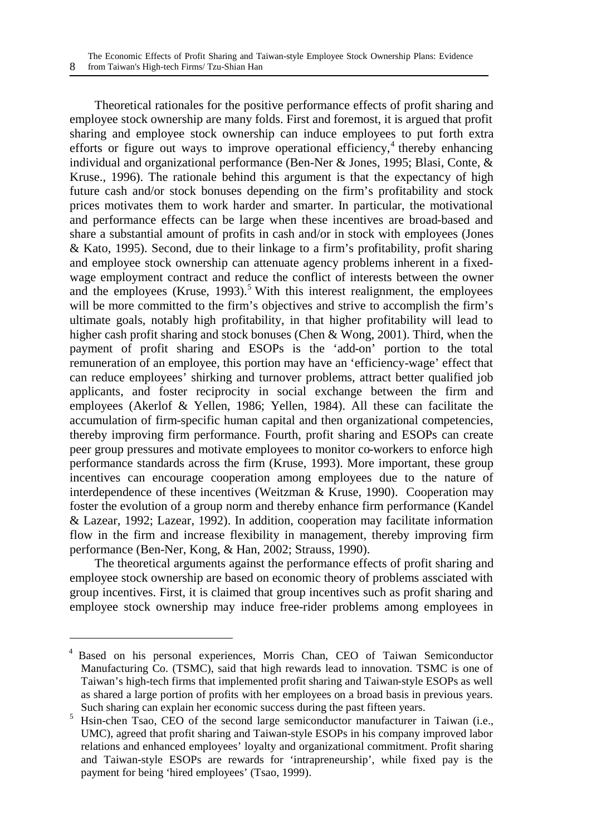Theoretical rationales for the positive performance effects of profit sharing and employee stock ownership are many folds. First and foremost, it is argued that profit sharing and employee stock ownership can induce employees to put forth extra efforts or figure out ways to improve operational efficiency,<sup>4</sup> thereby enhancing individual and organizational performance (Ben-Ner & Jones, 1995; Blasi, Conte, & Kruse., 1996). The rationale behind this argument is that the expectancy of high future cash and/or stock bonuses depending on the firm's profitability and stock prices motivates them to work harder and smarter. In particular, the motivational and performance effects can be large when these incentives are broad-based and share a substantial amount of profits in cash and/or in stock with employees (Jones & Kato, 1995). Second, due to their linkage to a firm's profitability, profit sharing and employee stock ownership can attenuate agency problems inherent in a fixedwage employment contract and reduce the conflict of interests between the owner and the employees (Kruse,  $1993$ ).<sup>5</sup> With this interest realignment, the employees will be more committed to the firm's objectives and strive to accomplish the firm's ultimate goals, notably high profitability, in that higher profitability will lead to higher cash profit sharing and stock bonuses (Chen & Wong, 2001). Third, when the payment of profit sharing and ESOPs is the 'add-on' portion to the total remuneration of an employee, this portion may have an 'efficiency-wage' effect that can reduce employees' shirking and turnover problems, attract better qualified job applicants, and foster reciprocity in social exchange between the firm and employees (Akerlof & Yellen, 1986; Yellen, 1984). All these can facilitate the accumulation of firm-specific human capital and then organizational competencies, thereby improving firm performance. Fourth, profit sharing and ESOPs can create peer group pressures and motivate employees to monitor co-workers to enforce high performance standards across the firm (Kruse, 1993). More important, these group incentives can encourage cooperation among employees due to the nature of interdependence of these incentives (Weitzman & Kruse, 1990). Cooperation may foster the evolution of a group norm and thereby enhance firm performance (Kandel & Lazear, 1992; Lazear, 1992). In addition, cooperation may facilitate information flow in the firm and increase flexibility in management, thereby improving firm performance (Ben-Ner, Kong, & Han, 2002; Strauss, 1990).

The theoretical arguments against the performance effects of profit sharing and employee stock ownership are based on economic theory of problems assciated with group incentives. First, it is claimed that group incentives such as profit sharing and employee stock ownership may induce free-rider problems among employees in

<u>.</u>

<sup>4</sup> Based on his personal experiences, Morris Chan, CEO of Taiwan Semiconductor Manufacturing Co. (TSMC), said that high rewards lead to innovation. TSMC is one of Taiwan's high-tech firms that implemented profit sharing and Taiwan-style ESOPs as well as shared a large portion of profits with her employees on a broad basis in previous years. Such sharing can explain her economic success during the past fifteen years.

<sup>5</sup> Hsin-chen Tsao, CEO of the second large semiconductor manufacturer in Taiwan (i.e., UMC), agreed that profit sharing and Taiwan-style ESOPs in his company improved labor relations and enhanced employees' loyalty and organizational commitment. Profit sharing and Taiwan-style ESOPs are rewards for 'intrapreneurship', while fixed pay is the payment for being 'hired employees' (Tsao, 1999).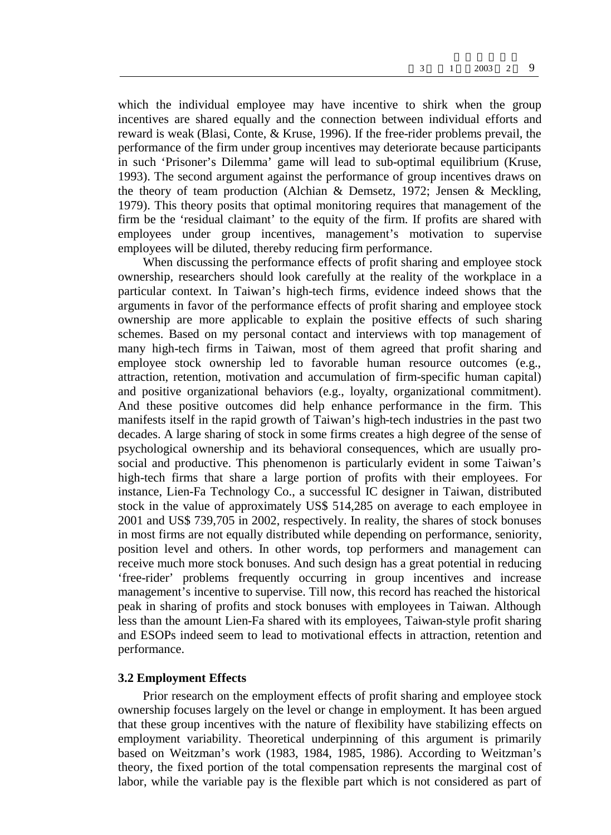which the individual employee may have incentive to shirk when the group incentives are shared equally and the connection between individual efforts and reward is weak (Blasi, Conte, & Kruse, 1996). If the free-rider problems prevail, the performance of the firm under group incentives may deteriorate because participants in such 'Prisoner's Dilemma' game will lead to sub-optimal equilibrium (Kruse, 1993). The second argument against the performance of group incentives draws on the theory of team production (Alchian & Demsetz, 1972; Jensen & Meckling, 1979). This theory posits that optimal monitoring requires that management of the firm be the 'residual claimant' to the equity of the firm. If profits are shared with employees under group incentives, management's motivation to supervise employees will be diluted, thereby reducing firm performance.

When discussing the performance effects of profit sharing and employee stock ownership, researchers should look carefully at the reality of the workplace in a particular context. In Taiwan's high-tech firms, evidence indeed shows that the arguments in favor of the performance effects of profit sharing and employee stock ownership are more applicable to explain the positive effects of such sharing schemes. Based on my personal contact and interviews with top management of many high-tech firms in Taiwan, most of them agreed that profit sharing and employee stock ownership led to favorable human resource outcomes (e.g., attraction, retention, motivation and accumulation of firm-specific human capital) and positive organizational behaviors (e.g., loyalty, organizational commitment). And these positive outcomes did help enhance performance in the firm. This manifests itself in the rapid growth of Taiwan's high-tech industries in the past two decades. A large sharing of stock in some firms creates a high degree of the sense of psychological ownership and its behavioral consequences, which are usually prosocial and productive. This phenomenon is particularly evident in some Taiwan's high-tech firms that share a large portion of profits with their employees. For instance, Lien-Fa Technology Co., a successful IC designer in Taiwan, distributed stock in the value of approximately US\$ 514,285 on average to each employee in 2001 and US\$ 739,705 in 2002, respectively. In reality, the shares of stock bonuses in most firms are not equally distributed while depending on performance, seniority, position level and others. In other words, top performers and management can receive much more stock bonuses. And such design has a great potential in reducing 'free-rider' problems frequently occurring in group incentives and increase management's incentive to supervise. Till now, this record has reached the historical peak in sharing of profits and stock bonuses with employees in Taiwan. Although less than the amount Lien-Fa shared with its employees, Taiwan-style profit sharing and ESOPs indeed seem to lead to motivational effects in attraction, retention and performance.

#### **3.2 Employment Effects**

Prior research on the employment effects of profit sharing and employee stock ownership focuses largely on the level or change in employment. It has been argued that these group incentives with the nature of flexibility have stabilizing effects on employment variability. Theoretical underpinning of this argument is primarily based on Weitzman's work (1983, 1984, 1985, 1986). According to Weitzman's theory, the fixed portion of the total compensation represents the marginal cost of labor, while the variable pay is the flexible part which is not considered as part of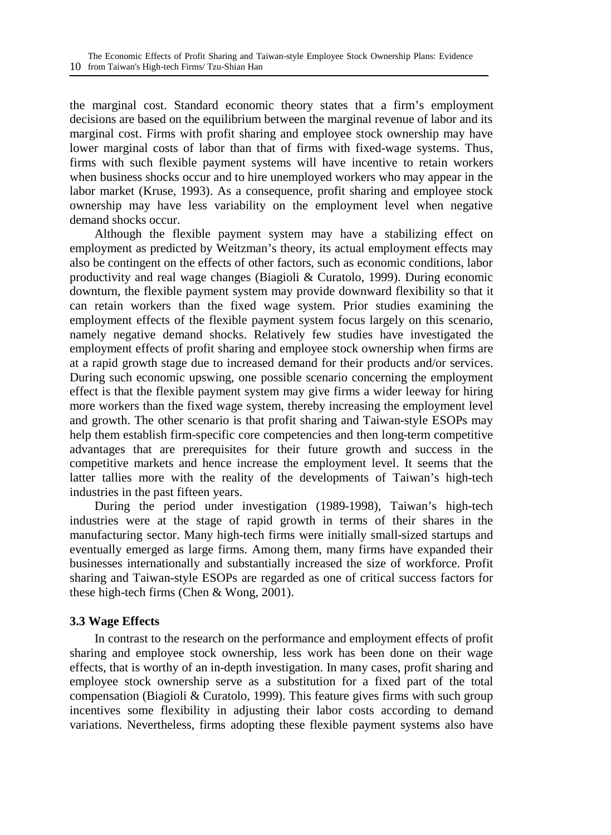the marginal cost. Standard economic theory states that a firm's employment decisions are based on the equilibrium between the marginal revenue of labor and its marginal cost. Firms with profit sharing and employee stock ownership may have lower marginal costs of labor than that of firms with fixed-wage systems. Thus, firms with such flexible payment systems will have incentive to retain workers when business shocks occur and to hire unemployed workers who may appear in the labor market (Kruse, 1993). As a consequence, profit sharing and employee stock ownership may have less variability on the employment level when negative demand shocks occur.

Although the flexible payment system may have a stabilizing effect on employment as predicted by Weitzman's theory, its actual employment effects may also be contingent on the effects of other factors, such as economic conditions, labor productivity and real wage changes (Biagioli & Curatolo, 1999). During economic downturn, the flexible payment system may provide downward flexibility so that it can retain workers than the fixed wage system. Prior studies examining the employment effects of the flexible payment system focus largely on this scenario, namely negative demand shocks. Relatively few studies have investigated the employment effects of profit sharing and employee stock ownership when firms are at a rapid growth stage due to increased demand for their products and/or services. During such economic upswing, one possible scenario concerning the employment effect is that the flexible payment system may give firms a wider leeway for hiring more workers than the fixed wage system, thereby increasing the employment level and growth. The other scenario is that profit sharing and Taiwan-style ESOPs may help them establish firm-specific core competencies and then long-term competitive advantages that are prerequisites for their future growth and success in the competitive markets and hence increase the employment level. It seems that the latter tallies more with the reality of the developments of Taiwan's high-tech industries in the past fifteen years.

During the period under investigation (1989-1998), Taiwan's high-tech industries were at the stage of rapid growth in terms of their shares in the manufacturing sector. Many high-tech firms were initially small-sized startups and eventually emerged as large firms. Among them, many firms have expanded their businesses internationally and substantially increased the size of workforce. Profit sharing and Taiwan-style ESOPs are regarded as one of critical success factors for these high-tech firms (Chen & Wong, 2001).

#### **3.3 Wage Effects**

In contrast to the research on the performance and employment effects of profit sharing and employee stock ownership, less work has been done on their wage effects, that is worthy of an in-depth investigation. In many cases, profit sharing and employee stock ownership serve as a substitution for a fixed part of the total compensation (Biagioli & Curatolo, 1999). This feature gives firms with such group incentives some flexibility in adjusting their labor costs according to demand variations. Nevertheless, firms adopting these flexible payment systems also have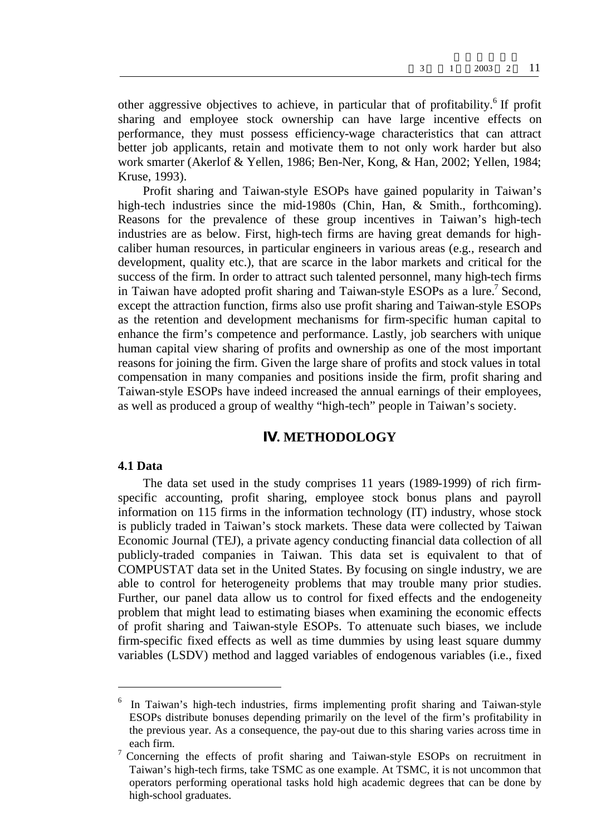other aggressive objectives to achieve, in particular that of profitability.<sup>6</sup> If profit sharing and employee stock ownership can have large incentive effects on performance, they must possess efficiency-wage characteristics that can attract better job applicants, retain and motivate them to not only work harder but also work smarter (Akerlof & Yellen, 1986; Ben-Ner, Kong, & Han, 2002; Yellen, 1984; Kruse, 1993).

Profit sharing and Taiwan-style ESOPs have gained popularity in Taiwan's high-tech industries since the mid-1980s (Chin, Han, & Smith., forthcoming). Reasons for the prevalence of these group incentives in Taiwan's high-tech industries are as below. First, high-tech firms are having great demands for highcaliber human resources, in particular engineers in various areas (e.g., research and development, quality etc.), that are scarce in the labor markets and critical for the success of the firm. In order to attract such talented personnel, many high-tech firms in Taiwan have adopted profit sharing and Taiwan-style ESOPs as a lure.<sup>7</sup> Second, except the attraction function, firms also use profit sharing and Taiwan-style ESOPs as the retention and development mechanisms for firm-specific human capital to enhance the firm's competence and performance. Lastly, job searchers with unique human capital view sharing of profits and ownership as one of the most important reasons for joining the firm. Given the large share of profits and stock values in total compensation in many companies and positions inside the firm, profit sharing and Taiwan-style ESOPs have indeed increased the annual earnings of their employees, as well as produced a group of wealthy "high-tech" people in Taiwan's society.

#### **. METHODOLOGY**

#### **4.1 Data**

 $\overline{a}$ 

The data set used in the study comprises 11 years (1989-1999) of rich firmspecific accounting, profit sharing, employee stock bonus plans and payroll information on 115 firms in the information technology (IT) industry, whose stock is publicly traded in Taiwan's stock markets. These data were collected by Taiwan Economic Journal (TEJ), a private agency conducting financial data collection of all publicly-traded companies in Taiwan. This data set is equivalent to that of COMPUSTAT data set in the United States. By focusing on single industry, we are able to control for heterogeneity problems that may trouble many prior studies. Further, our panel data allow us to control for fixed effects and the endogeneity problem that might lead to estimating biases when examining the economic effects of profit sharing and Taiwan-style ESOPs. To attenuate such biases, we include firm-specific fixed effects as well as time dummies by using least square dummy variables (LSDV) method and lagged variables of endogenous variables (i.e., fixed

<sup>6</sup> In Taiwan's high-tech industries, firms implementing profit sharing and Taiwan-style ESOPs distribute bonuses depending primarily on the level of the firm's profitability in the previous year. As a consequence, the pay-out due to this sharing varies across time in each firm.

<sup>7</sup> Concerning the effects of profit sharing and Taiwan-style ESOPs on recruitment in Taiwan's high-tech firms, take TSMC as one example. At TSMC, it is not uncommon that operators performing operational tasks hold high academic degrees that can be done by high-school graduates.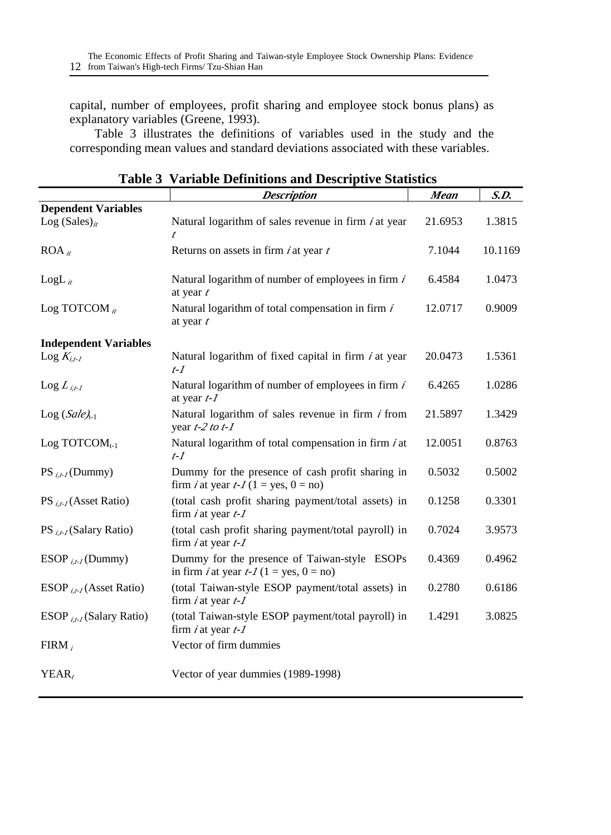capital, number of employees, profit sharing and employee stock bonus plans) as explanatory variables (Greene, 1993).

Table 3 illustrates the definitions of variables used in the study and the corresponding mean values and standard deviations associated with these variables.

|                              | <b>Description</b>                                                                                    | <b>Mean</b> | S.D.    |
|------------------------------|-------------------------------------------------------------------------------------------------------|-------------|---------|
| <b>Dependent Variables</b>   |                                                                                                       |             |         |
| Log (Sales) <sub>it</sub>    | Natural logarithm of sales revenue in firm $i$ at year<br>$\boldsymbol{t}$                            | 21.6953     | 1.3815  |
| $ROA_{it}$                   | Returns on assets in firm $i$ at year $t$                                                             | 7.1044      | 10.1169 |
| $LogL_{it}$                  | Natural logarithm of number of employees in firm $i$<br>at year $t$                                   | 6.4584      | 1.0473  |
| Log TOTCOM $_{it}$           | Natural logarithm of total compensation in firm $i$<br>at year $t$                                    | 12.0717     | 0.9009  |
| <b>Independent Variables</b> |                                                                                                       |             |         |
| $\text{Log } K_{i,t-1}$      | Natural logarithm of fixed capital in firm $i$ at year<br>$t-1$                                       | 20.0473     | 1.5361  |
| $\text{Log } L_{i,t-1}$      | Natural logarithm of number of employees in firm $i$<br>at year $t$ - $I$                             | 6.4265      | 1.0286  |
| $Log(Sale)_{t-1}$            | Natural logarithm of sales revenue in firm $i$ from<br>year $t-2$ to $t-1$                            | 21.5897     | 1.3429  |
| Log TOTCO $M_{t-1}$          | Natural logarithm of total compensation in firm $i$ at<br>$t-1$                                       | 12.0051     | 0.8763  |
| $PS_{i,t-1}(Dummy)$          | Dummy for the presence of cash profit sharing in<br>firm <i>i</i> at year $t$ - $I$ (1 = yes, 0 = no) | 0.5032      | 0.5002  |
| $PS_{i,t}$ (Asset Ratio)     | (total cash profit sharing payment/total assets) in<br>firm $i$ at year $t$ - $I$                     | 0.1258      | 0.3301  |
| PS $_{i.f.}$ (Salary Ratio)  | (total cash profit sharing payment/total payroll) in<br>firm $i$ at year $t$ - $I$                    | 0.7024      | 3.9573  |
| ESOP $_{i.f.}$ (Dummy)       | Dummy for the presence of Taiwan-style ESOPs<br>in firm <i>i</i> at year $t$ - $I$ (1 = yes, 0 = no)  | 0.4369      | 0.4962  |
| ESOP $_{i,t}$ (Asset Ratio)  | (total Taiwan-style ESOP payment/total assets) in<br>firm $i$ at year $t$ - $I$                       | 0.2780      | 0.6186  |
| ESOP $_{i,t}$ (Salary Ratio) | (total Taiwan-style ESOP payment/total payroll) in<br>firm $i$ at year $t$ - $I$                      | 1.4291      | 3.0825  |
| $FIRM_i$                     | Vector of firm dummies                                                                                |             |         |
| YEAR,                        | Vector of year dummies (1989-1998)                                                                    |             |         |

|  |  | <b>Table 3 Variable Definitions and Descriptive Statistics</b> |  |
|--|--|----------------------------------------------------------------|--|
|--|--|----------------------------------------------------------------|--|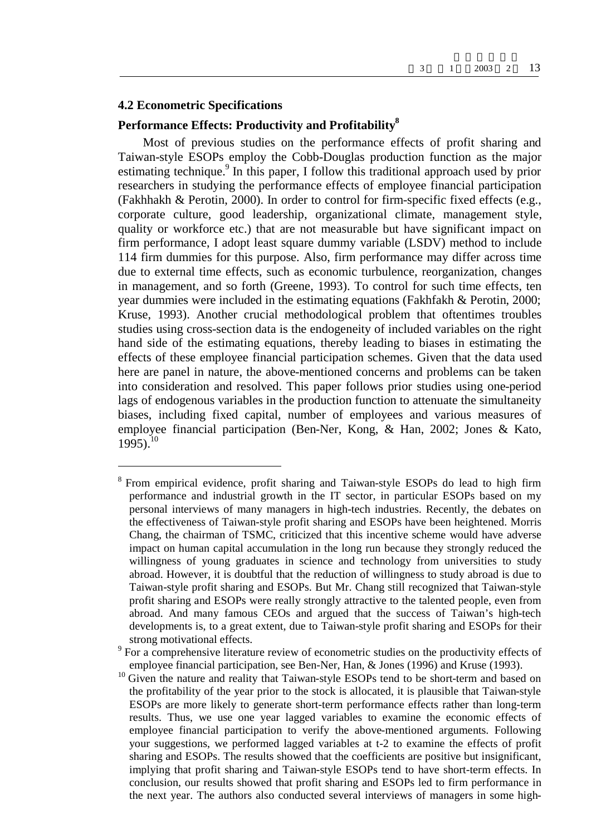#### **4.2 Econometric Specifications**

 $\overline{a}$ 

### **Performance Effects: Productivity and Profitability<sup>8</sup>**

Most of previous studies on the performance effects of profit sharing and Taiwan-style ESOPs employ the Cobb-Douglas production function as the major estimating technique.<sup>9</sup> In this paper, I follow this traditional approach used by prior researchers in studying the performance effects of employee financial participation (Fakhhakh & Perotin, 2000). In order to control for firm-specific fixed effects (e.g., corporate culture, good leadership, organizational climate, management style, quality or workforce etc.) that are not measurable but have significant impact on firm performance, I adopt least square dummy variable (LSDV) method to include 114 firm dummies for this purpose. Also, firm performance may differ across time due to external time effects, such as economic turbulence, reorganization, changes in management, and so forth (Greene, 1993). To control for such time effects, ten year dummies were included in the estimating equations (Fakhfakh & Perotin, 2000; Kruse, 1993). Another crucial methodological problem that oftentimes troubles studies using cross-section data is the endogeneity of included variables on the right hand side of the estimating equations, thereby leading to biases in estimating the effects of these employee financial participation schemes. Given that the data used here are panel in nature, the above-mentioned concerns and problems can be taken into consideration and resolved. This paper follows prior studies using one-period lags of endogenous variables in the production function to attenuate the simultaneity biases, including fixed capital, number of employees and various measures of employee financial participation (Ben-Ner, Kong, & Han, 2002; Jones & Kato,  $1995$ ).<sup>10</sup>

<sup>8</sup> From empirical evidence, profit sharing and Taiwan-style ESOPs do lead to high firm performance and industrial growth in the IT sector, in particular ESOPs based on my personal interviews of many managers in high-tech industries. Recently, the debates on the effectiveness of Taiwan-style profit sharing and ESOPs have been heightened. Morris Chang, the chairman of TSMC, criticized that this incentive scheme would have adverse impact on human capital accumulation in the long run because they strongly reduced the willingness of young graduates in science and technology from universities to study abroad. However, it is doubtful that the reduction of willingness to study abroad is due to Taiwan-style profit sharing and ESOPs. But Mr. Chang still recognized that Taiwan-style profit sharing and ESOPs were really strongly attractive to the talented people, even from abroad. And many famous CEOs and argued that the success of Taiwan's high-tech developments is, to a great extent, due to Taiwan-style profit sharing and ESOPs for their strong motivational effects.

 $9^9$  For a comprehensive literature review of econometric studies on the productivity effects of employee financial participation, see Ben-Ner, Han, & Jones (1996) and Kruse (1993).

<sup>&</sup>lt;sup>10</sup> Given the nature and reality that Taiwan-style ESOPs tend to be short-term and based on the profitability of the year prior to the stock is allocated, it is plausible that Taiwan-style ESOPs are more likely to generate short-term performance effects rather than long-term results. Thus, we use one year lagged variables to examine the economic effects of employee financial participation to verify the above-mentioned arguments. Following your suggestions, we performed lagged variables at t-2 to examine the effects of profit sharing and ESOPs. The results showed that the coefficients are positive but insignificant, implying that profit sharing and Taiwan-style ESOPs tend to have short-term effects. In conclusion, our results showed that profit sharing and ESOPs led to firm performance in the next year. The authors also conducted several interviews of managers in some high-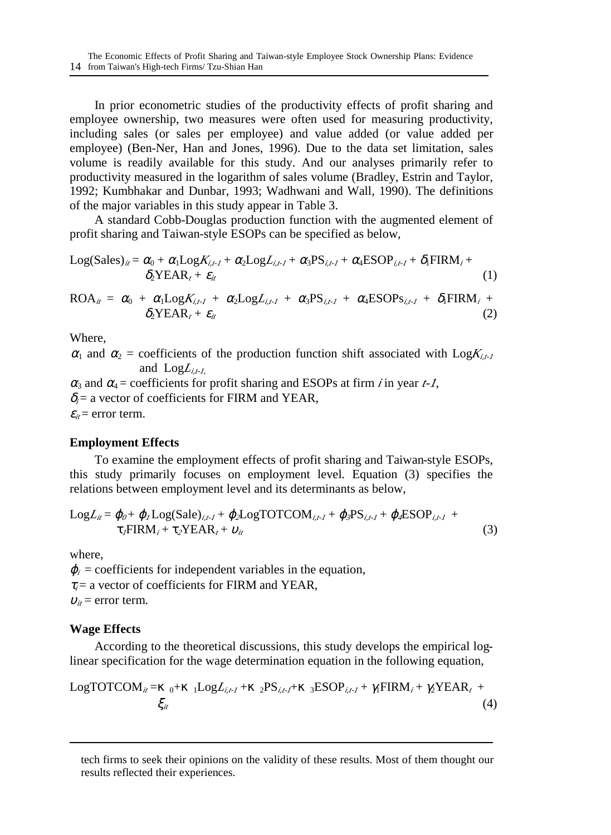In prior econometric studies of the productivity effects of profit sharing and employee ownership, two measures were often used for measuring productivity, including sales (or sales per employee) and value added (or value added per employee) (Ben-Ner, Han and Jones, 1996). Due to the data set limitation, sales volume is readily available for this study. And our analyses primarily refer to productivity measured in the logarithm of sales volume (Bradley, Estrin and Taylor, 1992; Kumbhakar and Dunbar, 1993; Wadhwani and Wall, 1990). The definitions of the major variables in this study appear in Table 3.

A standard Cobb-Douglas production function with the augmented element of profit sharing and Taiwan-style ESOPs can be specified as below,

Log(Sales)<sub>ii</sub> = 
$$
r_0 + r_1 Log K_{i,t-1} + r_2 Log L_{i,t-1} + r_3 PS_{i,t-1} + r_4 ESOP_{i,t-1} + u_f FIRM_i + u_f YEAR_i + v_{it}
$$
 (1)

$$
ROA_{it} = r_0 + r_1 Log K_{it-1} + r_2 Log L_{it-1} + r_3 PS_{it-1} + r_4 ESOPs_{it-1} + u_1 FIRM_i + u_2 YEAR_t + v_{it}
$$
\n(2)

Where,

 $r_1$  and  $r_2$  = coefficients of the production function shift associated with  $\text{Log}K_{i,t}$ and  $LogL_{i,t-L}$ 

 $r_3$  and  $r_4$  = coefficients for profit sharing and ESOPs at firm *i* in year *t-1*,  $u_i$  = a vector of coefficients for FIRM and YEAR,  $V_{it}$  = error term.

#### **Employment Effects**

To examine the employment effects of profit sharing and Taiwan-style ESOPs, this study primarily focuses on employment level. Equation (3) specifies the relations between employment level and its determinants as below,

$$
LogL_{ii} = \{o + \{f_{i}Log(Sale)_{i,i} + \{glogTOTCOM_{i,i} + \{gPS_{i,i} + \{gESOP_{i,i-1} + \sigma\}PIRM_{i} + \tau_{g}YEAR_{i} + \hat{m}\}\}
$$
\n
$$
(3)
$$

where,

<u>.</u>

 $f_i$  = coefficients for independent variables in the equation,  $t_i$  = a vector of coefficients for FIRM and YEAR,  $\hat{i}$  = error term.

#### **Wage Effects**

According to the theoretical discussions, this study develops the empirical loglinear specification for the wage determination equation in the following equation,

LogTOTCOM<sub>*ii*</sub> = 
$$
{}_{0^+}
$$
  ${}_{1}LogL_{i,t-1}$  +  ${}_{2}PS_{i,t-1}$  +  ${}_{3}ESOP_{i,t-1}$  +  $X_{1}FIRM_{i}$  +  $X_{2}YEAR_{i}$  +  $\zeta_{i}$  (4)

tech firms to seek their opinions on the validity of these results. Most of them thought our results reflected their experiences.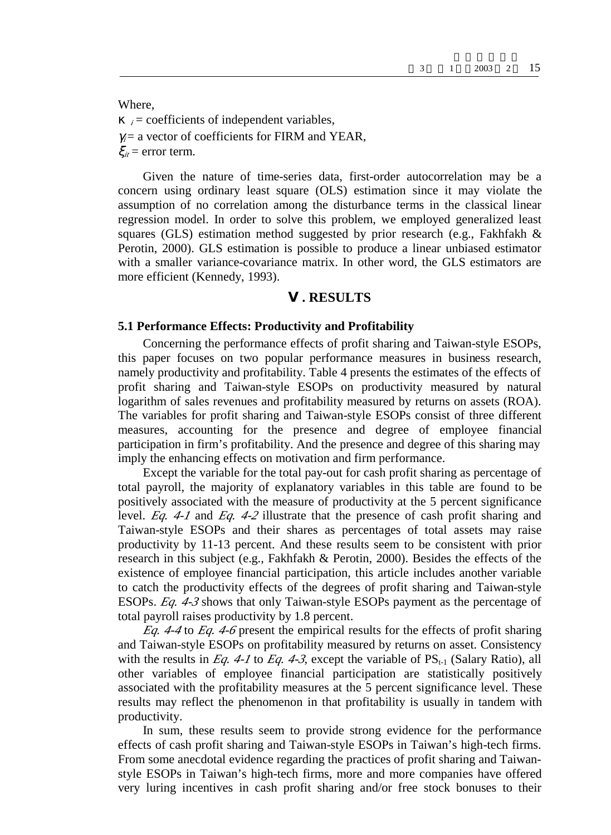Where,

 $i =$  coefficients of independent variables,  $x_i$  = a vector of coefficients for FIRM and YEAR,  $\varsigma_{it}$  = error term.

Given the nature of time-series data, first-order autocorrelation may be a concern using ordinary least square (OLS) estimation since it may violate the assumption of no correlation among the disturbance terms in the classical linear regression model. In order to solve this problem, we employed generalized least squares (GLS) estimation method suggested by prior research (e.g., Fakhfakh & Perotin, 2000). GLS estimation is possible to produce a linear unbiased estimator with a smaller variance-covariance matrix. In other word, the GLS estimators are more efficient (Kennedy, 1993).

#### **. RESULTS**

#### **5.1 Performance Effects: Productivity and Profitability**

Concerning the performance effects of profit sharing and Taiwan-style ESOPs, this paper focuses on two popular performance measures in business research, namely productivity and profitability. Table 4 presents the estimates of the effects of profit sharing and Taiwan-style ESOPs on productivity measured by natural logarithm of sales revenues and profitability measured by returns on assets (ROA). The variables for profit sharing and Taiwan-style ESOPs consist of three different measures, accounting for the presence and degree of employee financial participation in firm's profitability. And the presence and degree of this sharing may imply the enhancing effects on motivation and firm performance.

Except the variable for the total pay-out for cash profit sharing as percentage of total payroll, the majority of explanatory variables in this table are found to be positively associated with the measure of productivity at the 5 percent significance level. *Eq. 4-1* and *Eq. 4-2* illustrate that the presence of cash profit sharing and Taiwan-style ESOPs and their shares as percentages of total assets may raise productivity by 11-13 percent. And these results seem to be consistent with prior research in this subject (e.g., Fakhfakh & Perotin, 2000). Besides the effects of the existence of employee financial participation, this article includes another variable to catch the productivity effects of the degrees of profit sharing and Taiwan-style ESOPs. *Eq. 4-3* shows that only Taiwan-style ESOPs payment as the percentage of total payroll raises productivity by 1.8 percent.

*Eq. 4-4* to *Eq. 4-6* present the empirical results for the effects of profit sharing and Taiwan-style ESOPs on profitability measured by returns on asset. Consistency with the results in *Eq. 4-1* to *Eq. 4-3*, except the variable of  $PS_{t-1}$  (Salary Ratio), all other variables of employee financial participation are statistically positively associated with the profitability measures at the 5 percent significance level. These results may reflect the phenomenon in that profitability is usually in tandem with productivity.

In sum, these results seem to provide strong evidence for the performance effects of cash profit sharing and Taiwan-style ESOPs in Taiwan's high-tech firms. From some anecdotal evidence regarding the practices of profit sharing and Taiwanstyle ESOPs in Taiwan's high-tech firms, more and more companies have offered very luring incentives in cash profit sharing and/or free stock bonuses to their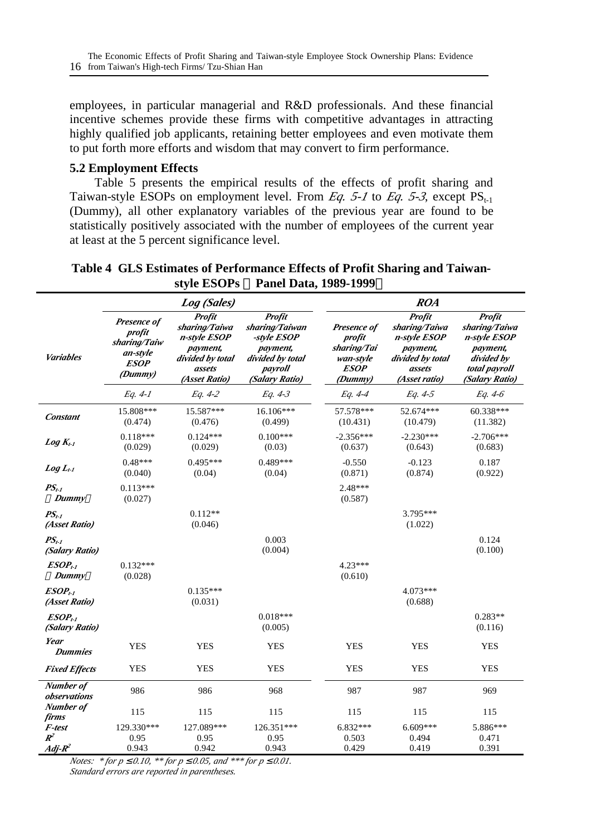employees, in particular managerial and R&D professionals. And these financial incentive schemes provide these firms with competitive advantages in attracting highly qualified job applicants, retaining better employees and even motivate them to put forth more efforts and wisdom that may convert to firm performance.

#### **5.2 Employment Effects**

Table 5 presents the empirical results of the effects of profit sharing and Taiwan-style ESOPs on employment level. From *Eq. 5-1* to *Eq. 5-3*, except  $PS_{t-1}$ (Dummy), all other explanatory variables of the previous year are found to be statistically positively associated with the number of employees of the current year at least at the 5 percent significance level.

|                                |                                                                                    | Log (Sales)                                                                                        |                                                                                                      |                                                                             | <b>ROA</b>                                                                                         |                                                                                                             |
|--------------------------------|------------------------------------------------------------------------------------|----------------------------------------------------------------------------------------------------|------------------------------------------------------------------------------------------------------|-----------------------------------------------------------------------------|----------------------------------------------------------------------------------------------------|-------------------------------------------------------------------------------------------------------------|
| <b>Variables</b>               | Presence of<br>profit<br>sharing/Taiw<br>an-style<br><i><b>ESOP</b></i><br>(Dummy) | Profit<br>sharing/Taiwa<br>n-style ESOP<br>payment,<br>divided by total<br>assets<br>(Asset Ratio) | Profit<br>sharing/Taiwan<br>-style ESOP<br>payment,<br>divided by total<br>payroll<br>(Salary Ratio) | Presence of<br>profit<br>sharing/Tai<br>wan-style<br><b>ESOP</b><br>(Dummy) | Profit<br>sharing/Taiwa<br>n-style ESOP<br>payment,<br>divided by total<br>assets<br>(Asset ratio) | Profit<br>sharing/Taiwa<br>n-style ESOP<br><i>payment,</i><br>divided by<br>total payroll<br>(Salary Ratio) |
|                                | Eq. 4-1                                                                            | Eq. 4-2                                                                                            | Eq. 4-3                                                                                              | Eq. 4-4                                                                     | Eq. 4-5                                                                                            | Eq. 4-6                                                                                                     |
| Constant                       | 15.808***<br>(0.474)                                                               | 15.587***<br>(0.476)                                                                               | 16.106***<br>(0.499)                                                                                 | 57.578***<br>(10.431)                                                       | 52.674***<br>(10.479)                                                                              | $60.338***$<br>(11.382)                                                                                     |
| $Log K_{t-1}$                  | $0.118***$<br>(0.029)                                                              | $0.124***$<br>(0.029)                                                                              | $0.100***$<br>(0.03)                                                                                 | $-2.356***$<br>(0.637)                                                      | $-2.230***$<br>(0.643)                                                                             | $-2.706***$<br>(0.683)                                                                                      |
| $Log L_{t-1}$                  | $0.48***$<br>(0.040)                                                               | $0.495***$<br>(0.04)                                                                               | $0.489***$<br>(0.04)                                                                                 | $-0.550$<br>(0.871)                                                         | $-0.123$<br>(0.874)                                                                                | 0.187<br>(0.922)                                                                                            |
| $PS_{t-1}$<br>Dummy            | $0.113***$<br>(0.027)                                                              |                                                                                                    |                                                                                                      | $2.48***$<br>(0.587)                                                        |                                                                                                    |                                                                                                             |
| $PS_{t-1}$<br>(Asset Ratio)    |                                                                                    | $0.112**$<br>(0.046)                                                                               |                                                                                                      |                                                                             | 3.795***<br>(1.022)                                                                                |                                                                                                             |
| $PS_{t-1}$<br>(Salary Ratio)   |                                                                                    |                                                                                                    | 0.003<br>(0.004)                                                                                     |                                                                             |                                                                                                    | 0.124<br>(0.100)                                                                                            |
| $ESOP_{t-1}$<br>Dummy          | $0.132***$<br>(0.028)                                                              |                                                                                                    |                                                                                                      | $4.23***$<br>(0.610)                                                        |                                                                                                    |                                                                                                             |
| $ESOP_{t}$<br>(Asset Ratio)    |                                                                                    | $0.135***$<br>(0.031)                                                                              |                                                                                                      |                                                                             | 4.073***<br>(0.688)                                                                                |                                                                                                             |
| $ESOP_{t-1}$<br>(Salary Ratio) |                                                                                    |                                                                                                    | $0.018***$<br>(0.005)                                                                                |                                                                             |                                                                                                    | $0.283**$<br>(0.116)                                                                                        |
| Year<br>Dummies                | <b>YES</b>                                                                         | <b>YES</b>                                                                                         | <b>YES</b>                                                                                           | <b>YES</b>                                                                  | <b>YES</b>                                                                                         | <b>YES</b>                                                                                                  |
| <b>Fixed Effects</b>           | <b>YES</b>                                                                         | <b>YES</b>                                                                                         | <b>YES</b>                                                                                           | <b>YES</b>                                                                  | <b>YES</b>                                                                                         | <b>YES</b>                                                                                                  |
| Number of<br>observations      | 986                                                                                | 986                                                                                                | 968                                                                                                  | 987                                                                         | 987                                                                                                | 969                                                                                                         |
| Number of<br>firms             | 115                                                                                | 115                                                                                                | 115                                                                                                  | 115                                                                         | 115                                                                                                | 115                                                                                                         |
| F-test<br>$R^2$<br>$Adj-R^2$   | 129.330***<br>0.95<br>0.943                                                        | 127.089***<br>0.95<br>0.942                                                                        | 126.351***<br>0.95<br>0.943                                                                          | 6.832***<br>0.503<br>0.429                                                  | $6.609***$<br>0.494<br>0.419                                                                       | 5.886***<br>0.471<br>0.391                                                                                  |

**Table 4 GLS Estimates of Performance Effects of Profit Sharing and Taiwanstyle ESOPs Panel Data, 1989-1999**

*Notes: \* for p £ 0.10, \*\* for p £ 0.05, and \*\*\* for p £ 0.01. Standard errors are reported in parentheses.*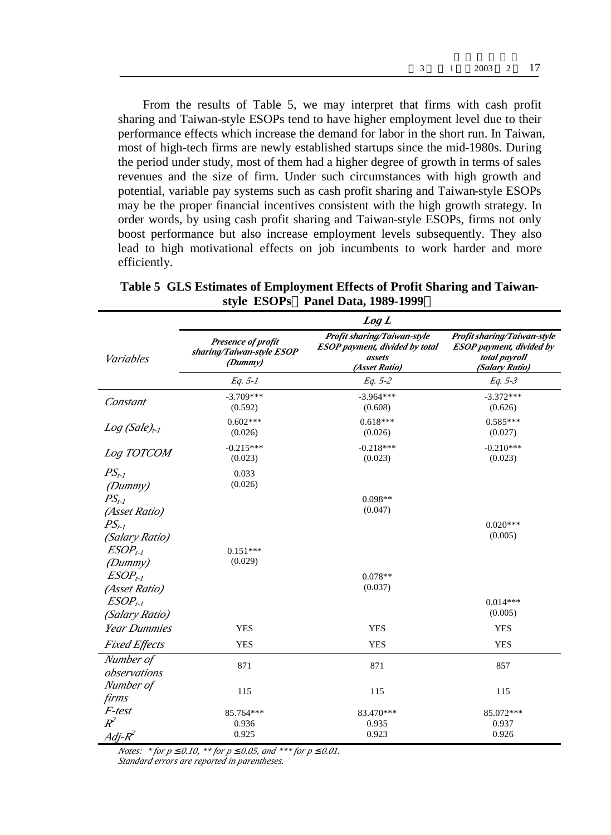From the results of Table 5, we may interpret that firms with cash profit sharing and Taiwan-style ESOPs tend to have higher employment level due to their performance effects which increase the demand for labor in the short run. In Taiwan, most of high-tech firms are newly established startups since the mid-1980s. During the period under study, most of them had a higher degree of growth in terms of sales revenues and the size of firm. Under such circumstances with high growth and potential, variable pay systems such as cash profit sharing and Taiwan-style ESOPs may be the proper financial incentives consistent with the high growth strategy. In order words, by using cash profit sharing and Taiwan-style ESOPs, firms not only boost performance but also increase employment levels subsequently. They also lead to high motivational effects on job incumbents to work harder and more efficiently.

|                                |                                                            | Log L                                                                                           |                                                                                                   |  |
|--------------------------------|------------------------------------------------------------|-------------------------------------------------------------------------------------------------|---------------------------------------------------------------------------------------------------|--|
| Variables                      | Presence of profit<br>sharing/Taiwan-style ESOP<br>(Dummy) | Profit sharing/Taiwan-style<br><b>ESOP</b> payment, divided by total<br>assets<br>(Asset Ratio) | Profit sharing/Taiwan-style<br><b>ESOP</b> payment, divided by<br>total payroll<br>(Salary Ratio) |  |
|                                | $Eq. 5-1$                                                  | Eq. 5-2                                                                                         | $Eq. 5-3$                                                                                         |  |
| Constant                       | $-3.709***$<br>(0.592)                                     | $-3.964***$<br>(0.608)                                                                          | $-3.372***$<br>(0.626)                                                                            |  |
| $Log(Sale)_{t-1}$              | $0.602***$<br>(0.026)                                      | $0.618***$<br>(0.026)                                                                           | $0.585***$<br>(0.027)                                                                             |  |
| Log TOTCOM                     | $-0.215***$<br>(0.023)                                     | $-0.218***$<br>(0.023)                                                                          | $-0.210***$<br>(0.023)                                                                            |  |
| $PS_{t-1}$<br>(Dummy)          | 0.033<br>(0.026)                                           |                                                                                                 |                                                                                                   |  |
| $PS_{t-1}$<br>(Asset Ratio)    |                                                            | $0.098**$<br>(0.047)                                                                            |                                                                                                   |  |
| $PS_{t-1}$<br>(Salary Ratio)   |                                                            |                                                                                                 | $0.020***$<br>(0.005)                                                                             |  |
| $ESOP_{t-1}$<br>(Dummy)        | $0.151***$<br>(0.029)                                      |                                                                                                 |                                                                                                   |  |
| $ESOP_{t-1}$<br>(Asset Ratio)  |                                                            | $0.078**$<br>(0.037)                                                                            |                                                                                                   |  |
| $ESOP_{t-1}$<br>(Salary Ratio) |                                                            |                                                                                                 | $0.014***$<br>(0.005)                                                                             |  |
| <b>Year Dummies</b>            | <b>YES</b>                                                 | <b>YES</b>                                                                                      | <b>YES</b>                                                                                        |  |
| <b>Fixed Effects</b>           | <b>YES</b>                                                 | <b>YES</b>                                                                                      | <b>YES</b>                                                                                        |  |
| Number of<br>observations      | 871                                                        | 871                                                                                             | 857                                                                                               |  |
| Number of<br>firms             | 115                                                        | 115                                                                                             | 115                                                                                               |  |
| F-test<br>$R^2$                | 85.764***<br>0.936                                         | 83.470***<br>0.935                                                                              | 85.072***<br>0.937                                                                                |  |
| $Adi-R^2$                      | 0.925                                                      | 0.923                                                                                           | 0.926                                                                                             |  |

**Table 5 GLS Estimates of Employment Effects of Profit Sharing and Taiwanstyle ESOPs Panel Data, 1989-1999**

*Notes: \* for p £ 0.10, \*\* for p £ 0.05, and \*\*\* for p £ 0.01. Standard errors are reported in parentheses.*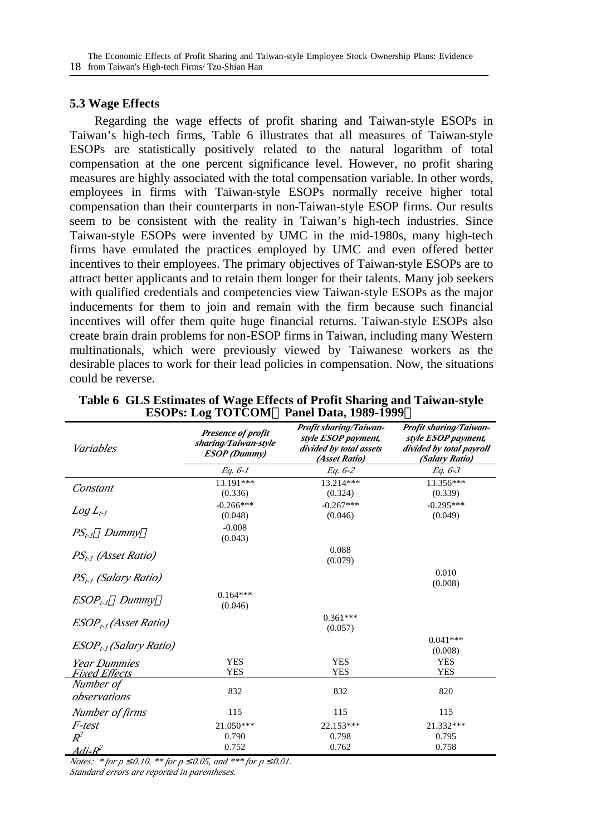#### **5.3 Wage Effects**

Regarding the wage effects of profit sharing and Taiwan-style ESOPs in Taiwan's high-tech firms, Table 6 illustrates that all measures of Taiwan-style ESOPs are statistically positively related to the natural logarithm of total compensation at the one percent significance level. However, no profit sharing measures are highly associated with the total compensation variable. In other words, employees in firms with Taiwan-style ESOPs normally receive higher total compensation than their counterparts in non-Taiwan-style ESOP firms. Our results seem to be consistent with the reality in Taiwan's high-tech industries. Since Taiwan-style ESOPs were invented by UMC in the mid-1980s, many high-tech firms have emulated the practices employed by UMC and even offered better incentives to their employees. The primary objectives of Taiwan-style ESOPs are to attract better applicants and to retain them longer for their talents. Many job seekers with qualified credentials and competencies view Taiwan-style ESOPs as the major inducements for them to join and remain with the firm because such financial incentives will offer them quite huge financial returns. Taiwan-style ESOPs also create brain drain problems for non-ESOP firms in Taiwan, including many Western multinationals, which were previously viewed by Taiwanese workers as the desirable places to work for their lead policies in compensation. Now, the situations could be reverse.

| Variables                          | Presence of profit<br>sharing/Taiwan-style<br><b>ESOP</b> (Dummy) | Profit sharing/Taiwan-<br>style ESOP payment,<br>divided by total assets<br>(Asset Ratio) | Profit sharing/Taiwan-<br>style ESOP payment,<br>divided by total payroll<br>(Salary Ratio) |
|------------------------------------|-------------------------------------------------------------------|-------------------------------------------------------------------------------------------|---------------------------------------------------------------------------------------------|
|                                    | Eq. 6-1                                                           | Eq. 6-2                                                                                   | Eq. 6-3                                                                                     |
| Constant                           | 13.191***                                                         | 13.214***                                                                                 | 13.356***                                                                                   |
|                                    | (0.336)                                                           | (0.324)                                                                                   | (0.339)                                                                                     |
|                                    | $-0.266***$                                                       | $-0.267***$                                                                               | $-0.295***$                                                                                 |
| $Log L_{t-1}$                      | (0.048)                                                           | (0.046)                                                                                   | (0.049)                                                                                     |
| $PS_{t-1}$ Dummy                   | $-0.008$<br>(0.043)                                               |                                                                                           |                                                                                             |
|                                    |                                                                   | 0.088                                                                                     |                                                                                             |
| PS <sub>tel</sub> (Asset Ratio)    |                                                                   | (0.079)                                                                                   |                                                                                             |
| PS <sub>t-1</sub> (Salary Ratio)   |                                                                   |                                                                                           | 0.010<br>(0.008)                                                                            |
| $ESOP_{t-1}$ Dummy                 | $0.164***$<br>(0.046)                                             |                                                                                           |                                                                                             |
| ESOP <sub>t-1</sub> (Asset Ratio)  |                                                                   | $0.361***$<br>(0.057)                                                                     |                                                                                             |
| ESOP <sub>t-1</sub> (Salary Ratio) |                                                                   |                                                                                           | $0.041***$                                                                                  |
|                                    |                                                                   |                                                                                           | (0.008)                                                                                     |
| Year Dummies                       | <b>YES</b>                                                        | <b>YES</b>                                                                                | <b>YES</b>                                                                                  |
| Fixed Effects                      | <b>YES</b>                                                        | <b>YES</b>                                                                                | <b>YES</b>                                                                                  |
| Number of<br>observations          | 832                                                               | 832                                                                                       | 820                                                                                         |
| Number of firms                    | 115                                                               | 115                                                                                       | 115                                                                                         |
| F-test                             | 21.050***                                                         | 22.153***                                                                                 | 21.332***                                                                                   |
| $R^2$                              | 0.790                                                             | 0.798                                                                                     | 0.795                                                                                       |
| $Adi$ - $R^2$                      | 0.752                                                             | 0.762                                                                                     | 0.758                                                                                       |

|                                         | Table 6 GLS Estimates of Wage Effects of Profit Sharing and Taiwan-style |
|-----------------------------------------|--------------------------------------------------------------------------|
| ESOPs: Log TOTCOM Panel Data, 1989-1999 |                                                                          |

*Notes: \* for p £ 0.10, \*\* for p £ 0.05, and \*\*\* for p £ 0.01.*

*Standard errors are reported in parentheses.*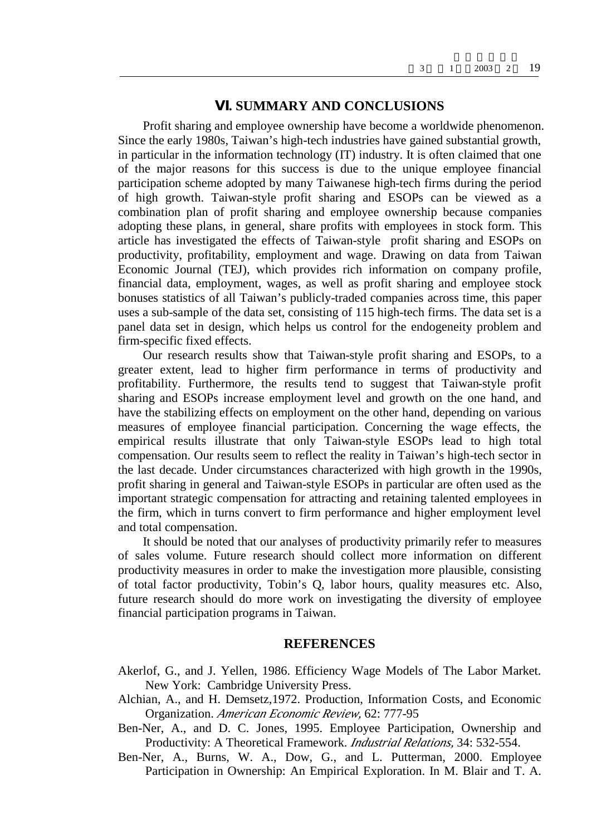## **. SUMMARY AND CONCLUSIONS**

Profit sharing and employee ownership have become a worldwide phenomenon. Since the early 1980s, Taiwan's high-tech industries have gained substantial growth, in particular in the information technology (IT) industry. It is often claimed that one of the major reasons for this success is due to the unique employee financial participation scheme adopted by many Taiwanese high-tech firms during the period of high growth. Taiwan-style profit sharing and ESOPs can be viewed as a combination plan of profit sharing and employee ownership because companies adopting these plans, in general, share profits with employees in stock form. This article has investigated the effects of Taiwan-style profit sharing and ESOPs on productivity, profitability, employment and wage. Drawing on data from Taiwan Economic Journal (TEJ), which provides rich information on company profile, financial data, employment, wages, as well as profit sharing and employee stock bonuses statistics of all Taiwan's publicly-traded companies across time, this paper uses a sub-sample of the data set, consisting of 115 high-tech firms. The data set is a panel data set in design, which helps us control for the endogeneity problem and firm-specific fixed effects.

Our research results show that Taiwan-style profit sharing and ESOPs, to a greater extent, lead to higher firm performance in terms of productivity and profitability. Furthermore, the results tend to suggest that Taiwan-style profit sharing and ESOPs increase employment level and growth on the one hand, and have the stabilizing effects on employment on the other hand, depending on various measures of employee financial participation. Concerning the wage effects, the empirical results illustrate that only Taiwan-style ESOPs lead to high total compensation. Our results seem to reflect the reality in Taiwan's high-tech sector in the last decade. Under circumstances characterized with high growth in the 1990s, profit sharing in general and Taiwan-style ESOPs in particular are often used as the important strategic compensation for attracting and retaining talented employees in the firm, which in turns convert to firm performance and higher employment level and total compensation.

It should be noted that our analyses of productivity primarily refer to measures of sales volume. Future research should collect more information on different productivity measures in order to make the investigation more plausible, consisting of total factor productivity, Tobin's Q, labor hours, quality measures etc. Also, future research should do more work on investigating the diversity of employee financial participation programs in Taiwan.

#### **REFERENCES**

- Akerlof, G., and J. Yellen, 1986. Efficiency Wage Models of The Labor Market*.* New York: Cambridge University Press.
- Alchian, A., and H. Demsetz,1972. Production, Information Costs, and Economic Organization. *American Economic Review,* 62: 777-95
- Ben-Ner, A., and D. C. Jones, 1995. Employee Participation, Ownership and Productivity: A Theoretical Framework. *Industrial Relations,* 34: 532-554.
- Ben-Ner, A., Burns, W. A., Dow, G., and L. Putterman, 2000. Employee Participation in Ownership: An Empirical Exploration. In M. Blair and T. A.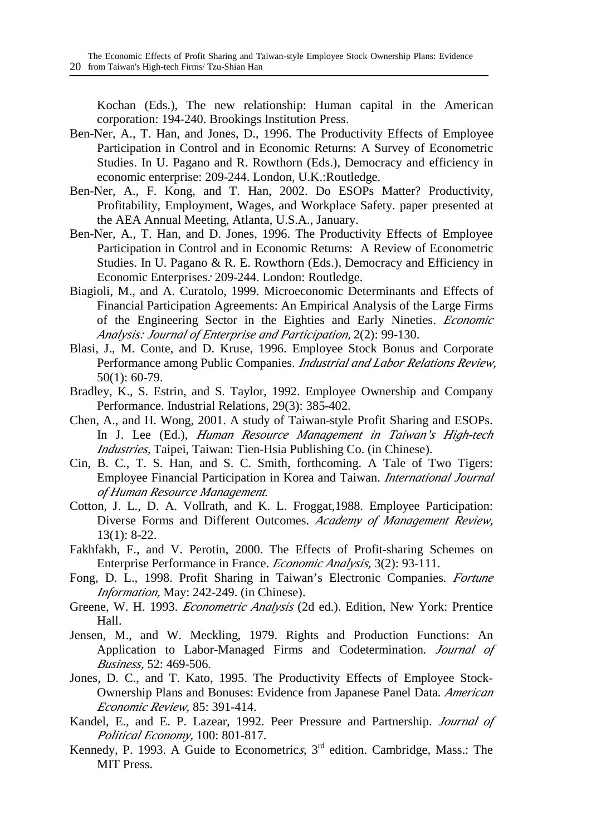Kochan (Eds.), The new relationship: Human capital in the American corporation: 194-240. Brookings Institution Press.

- Ben-Ner, A., T. Han, and Jones, D., 1996. The Productivity Effects of Employee Participation in Control and in Economic Returns: A Survey of Econometric Studies. In U. Pagano and R. Rowthorn (Eds.), Democracy and efficiency in economic enterprise: 209-244. London, U.K.:Routledge.
- Ben-Ner, A., F. Kong, and T. Han, 2002. Do ESOPs Matter? Productivity, Profitability, Employment, Wages, and Workplace Safety. paper presented at the AEA Annual Meeting, Atlanta, U.S.A., January.
- Ben-Ner, A., T. Han, and D. Jones, 1996. The Productivity Effects of Employee Participation in Control and in Economic Returns: A Review of Econometric Studies. In U. Pagano & R. E. Rowthorn (Eds.), Democracy and Efficiency in Economic Enterprises*:* 209-244. London: Routledge.
- Biagioli, M., and A. Curatolo, 1999. Microeconomic Determinants and Effects of Financial Participation Agreements: An Empirical Analysis of the Large Firms of the Engineering Sector in the Eighties and Early Nineties. *Economic Analysis: Journal of Enterprise and Participation,* 2(2): 99-130.
- Blasi, J., M. Conte, and D. Kruse, 1996. Employee Stock Bonus and Corporate Performance among Public Companies. *Industrial and Labor Relations Review,*  50(1): 60-79.
- Bradley, K., S. Estrin, and S. Taylor, 1992. Employee Ownership and Company Performance. Industrial Relations, 29(3): 385-402.
- Chen, A., and H. Wong, 2001. A study of Taiwan-style Profit Sharing and ESOPs. In J. Lee (Ed.), *Human Resource Management in Taiwan's High-tech Industries,* Taipei, Taiwan: Tien-Hsia Publishing Co. (in Chinese).
- Cin, B. C., T. S. Han, and S. C. Smith, forthcoming. A Tale of Two Tigers: Employee Financial Participation in Korea and Taiwan. *International Journal of Human Resource Management.*
- Cotton, J. L., D. A. Vollrath, and K. L. Froggat,1988. Employee Participation: Diverse Forms and Different Outcomes. *Academy of Management Review,* 13(1): 8-22.
- Fakhfakh, F., and V. Perotin, 2000. The Effects of Profit-sharing Schemes on Enterprise Performance in France. *Economic Analysis,* 3(2): 93-111.
- Fong, D. L., 1998. Profit Sharing in Taiwan's Electronic Companies. *Fortune Information,* May: 242-249. (in Chinese).
- Greene, W. H. 1993. *Econometric Analysis* (2d ed.). Edition, New York: Prentice Hall.
- Jensen, M., and W. Meckling, 1979. Rights and Production Functions: An Application to Labor-Managed Firms and Codetermination. *Journal of Business,* 52: 469-506.
- Jones, D. C., and T. Kato, 1995. The Productivity Effects of Employee Stock-Ownership Plans and Bonuses: Evidence from Japanese Panel Data. *American Economic Review,* 85: 391-414.
- Kandel, E., and E. P. Lazear, 1992. Peer Pressure and Partnership. *Journal of Political Economy,* 100: 801-817.
- Kennedy, P. 1993. A Guide to Econometrics, 3<sup>rd</sup> edition. Cambridge, Mass.: The MIT Press.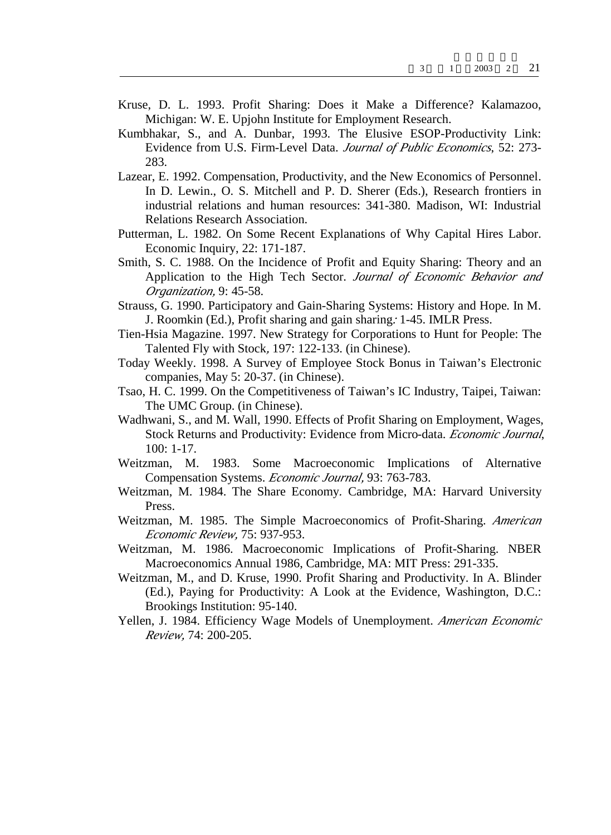- Kruse, D. L. 1993. Profit Sharing: Does it Make a Difference? Kalamazoo, Michigan: W. E. Upjohn Institute for Employment Research.
- Kumbhakar, S., and A. Dunbar, 1993. The Elusive ESOP-Productivity Link: Evidence from U.S. Firm-Level Data. *Journal of Public Economics*, 52: 273- 283.
- Lazear, E. 1992. Compensation, Productivity, and the New Economics of Personnel. In D. Lewin., O. S. Mitchell and P. D. Sherer (Eds.), Research frontiers in industrial relations and human resources: 341-380. Madison, WI: Industrial Relations Research Association.
- Putterman, L. 1982. On Some Recent Explanations of Why Capital Hires Labor. Economic Inquiry, 22: 171-187.
- Smith, S. C. 1988. On the Incidence of Profit and Equity Sharing: Theory and an Application to the High Tech Sector. *Journal of Economic Behavior and Organization,* 9: 45-58.
- Strauss, G. 1990. Participatory and Gain-Sharing Systems: History and Hope. In M. J. Roomkin (Ed.), Profit sharing and gain sharing*:* 1-45. IMLR Press.
- Tien-Hsia Magazine. 1997. New Strategy for Corporations to Hunt for People: The Talented Fly with Stock*,* 197: 122-133. (in Chinese).
- Today Weekly. 1998. A Survey of Employee Stock Bonus in Taiwan's Electronic companies, May 5: 20-37. (in Chinese).
- Tsao, H. C. 1999. On the Competitiveness of Taiwan's IC Industry, Taipei, Taiwan: The UMC Group. (in Chinese).
- Wadhwani, S., and M. Wall, 1990. Effects of Profit Sharing on Employment, Wages, Stock Returns and Productivity: Evidence from Micro-data. *Economic Journal*, 100: 1-17.
- Weitzman, M. 1983. Some Macroeconomic Implications of Alternative Compensation Systems. *Economic Journal,* 93: 763-783.
- Weitzman, M. 1984. The Share Economy*.* Cambridge, MA: Harvard University Press.
- Weitzman, M. 1985. The Simple Macroeconomics of Profit-Sharing. *American Economic Review,* 75: 937-953.
- Weitzman, M. 1986. Macroeconomic Implications of Profit-Sharing. NBER Macroeconomics Annual 1986, Cambridge, MA: MIT Press: 291-335.
- Weitzman, M., and D. Kruse, 1990. Profit Sharing and Productivity. In A. Blinder (Ed.), Paying for Productivity: A Look at the Evidence, Washington, D.C.: Brookings Institution: 95-140.
- Yellen, J. 1984. Efficiency Wage Models of Unemployment. *American Economic Review,* 74: 200-205.